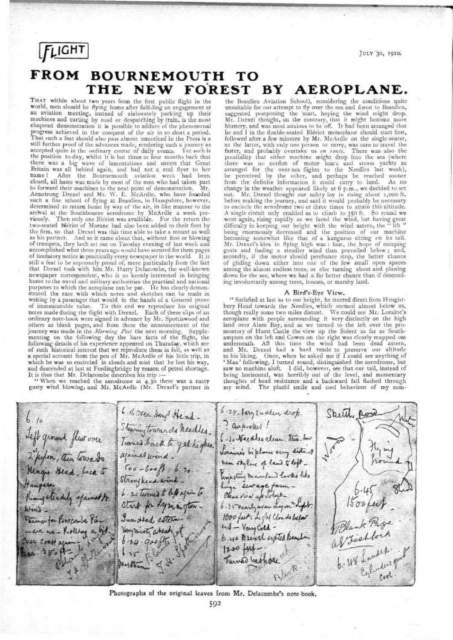$FLIGHT$  JULY 30, 1910.

# **FROM BOURNEMOUTH TO T H E NEW FOREST BY AEROPLANE.**

THAT within about two years from the first public flight in the world, men should be flying home after fulfilling an engagement at an aviation meeting, instead of elaborately packing up their machines and carting by road or despatching by train, is the most eloquent demonstration it is possible to adduce of the phenomenal progress achieved in the conquest of the air in so short a period. That such a feat should also pass almost unnoticed in the Press is a That such a feat should also pass almost unnoticed in the Press is a<br>still further proof of the advances made, rendering such a journey as<br>accepted quite in the ordinary course of daily events. Vet such is<br>the position toto forward their machines to the next point of demonstration. Mr. Armstrong Drexel and Mr. W. E. McArdle, who have founded such a fine school of flying at Beaulieu, in Hampshire, however, determined to return home by way of the air, in like manner to the arrival at the Southbourne aerodrome by McArdle a week pre-<br>viously. Then only one Blériot was available. For the return the<br>two-seated Blériot of Morane had also been added to their fleet by the firm, so that Drexel was this time able to take a mount as well as his partner. And so it came about that, without fuss or blowing of trumpets, they both set out on Tuesday evening of last week and accomplished what three years ago would have secured for them pages of laudatory notice in practically every newspaper in the world. still a feat to be supremely proud of, more particularly from the fact that Drexel took with him Mr. Harry Delacombe, the well-known newspaper correspondent, who is so keenly interested in bringing home to the naval and military authorities the practical and national<br>purposes to which the acroplane can be put. He has clearly demon-<br>strated the ease with which notes and sketches can be made in<br>writing by a passenger **a** special account from the pen of Mr. McArdle of his little trip, in which he was so encircled in clouds and mist that he lost his way, and descended at last at Fordingbridge by reason of petrol shortage.

It is thus that Mr. Delacombe describes his trip :— " When we reached the aerodrome at 4.30 there was a nasty gusty wind blowing, and Mr. McArdle (Mr. Drexel's partner in

the Beaulieu Aviation School), considering the conditions quite unsuitable for our attempt to fly over the sea and forest to Beaulieu, suggested postponing the 'start, hoping the wind might drop. Mr. Drexel thought, on the contrary, that it might become more blustery, and was most anxious to be off. It had been arranged that he and I in the double-seated Blériot monoplane should start first, followed after a few minutes by Mr. McArdle on the single-seater, as the latter, with only one person to carry, was sure to travel the faster, and probably overtake us *en route*. There was also the possibility that either machine might drop into the sea (where there was no cordon of mo change in the weather appeared likely at 6 p.m., we decided to set out. Mr. Drexel thought our safety lay in rising about 1,000 ft. before making the journey, and said it would probably be necessary to encircle the aerodrome two or three times to attain this altitude. A single circuit only enabled us to climb to 350 ft. So round we went again, rising rapidly as we faced the wind, but having great difficulty in keeping our height with the wind astern, the " lift *\**  being enormously decreased and the position of our machine<br>becoming somewhat like that of a kargaroo sitting on its tail,<br>Mr. Drexel's idea in flying high was : first, the hope of escaping<br>gusts and finding a steadier wind among the almost endless trees, or else turning about and planing down for the sea, where we had a far better chance than if descending involuntarily among trees, houses, or marshy land.

### A **Bird's-Eye View .**

"Satisfied at last as to our height, he steered direct from Hengist-<br>bury Head towards the Needles, which seemed almost below us,<br>though really some two miles distant. We could see Mr. Loraine's<br>aeroplane with people surro land over Alum Bay, and as we turned to the left over the promontory of Hurst Castle the view up the Solent as far as South-ampton on the left and Cowes on the right was clearly mapped out underneath. All this time the wind had been dead astern,<br>and Mr. Drexel had a hard tussle to preserve our altitude<br>to his liking. Once, when he asked me if I could see anything of<br>'Mac' following, I turned round, distingui saw no machine aloft. I did, however, see that our tail, instead of<br>being horizontal, was horribly out of the level, and momentary<br>thoughts of head resistance and a backward fall flashed throught<br>my mind. The placid smile

6.16 Over Henry Head - $6 - 29$ . Tery sudden drop. Shirth Roy  $6.6$ Steeringtowards heedles. ? anpooker !<br>Turnes back to get higher . . . . Needles clear Stac. how<br>agained wind. Jeft ground fluo over r  $\frac{1}{2}$ Strait ) 2 perfon, then towards hear skyling of land to left - $\frac{r_{00}-600ft+6.76.}{s\ln m\ln k}$ Hengis Head back to Persecut mainland lacks like<br>home servage fam -<br>Cleas view up volut ^AMAAM 6: 21 Turned to left ejain to 6.35 nearly aver Lym "Light. start for Lynington. Www 1000 feet, Light Clouds below Stamenta Porocombe Par Sun Had aftern us-Very Cold-Very mist arealy af Fishlock s-Kolling a 6 ys Drivel eighted Bear **6. 118 Lunded.**  $-qo$ ofts Ner Coast a  $1204+1$  $\sqrt{250}$ Turned Inshare 4»- **Photographs of the original leaves from Mr. Delacombe's note-book.**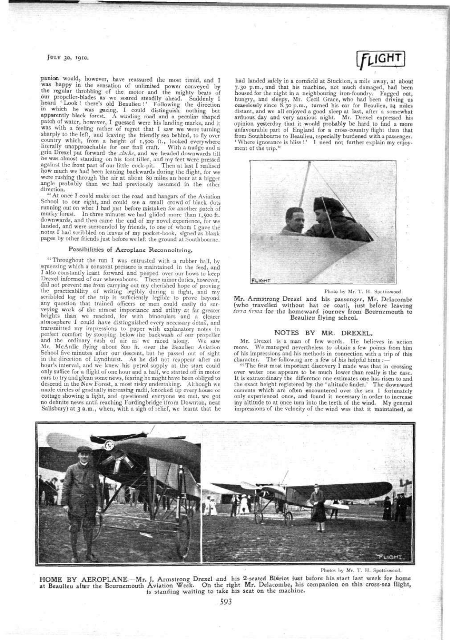## JULY 30, 1910.

panion would, however, have reassured the most timid, and I was happy in the sensation of unlimited power conveyed by the regular throbbing of the motor and the mighty beast of the regular throbbing of the motor and the mighty beats of<br>the regular throbbing of the motor and the mighty beats<br>heard 'Look! there's old Beaulieu!' Following the direction<br>in which he was gazing, I could distinguish not he was almost standing on his foot tiller, and my feet were pressed<br>against the front part of our little cock-pit. Then at last I realised<br>how much we had been leaning backwards during the flight, for we<br>were rushing throu angle probably than we had previously assumed in the other direction.

"At once I could make out the road and hangars of the Aviation<br>School to our right, and could see a small crowd of black dots running out on what I had just before mistaken for another patch of murky forest. In three minutes we had glided more than 1,500 ft. downwards, and then came the end of my novel experience, for we landed, and were surrounded by friends, to one of whom I gave the notes I had scribbled on leaves of my pocket-book, signed as blank pages by other friends just before we left the ground at Southbourne.

## Possibilities of Aeroplane Reconnoitring.

"Throughou t the run I was entrusted with a rubber ball, by squeezing which a constant pressure is maintained in the feed, and I also constantly leant forward and peeped over our bows to keep Drexel informed of our whereabouts. These minor duties, however, Drexel informed of our whereabouts. These minor duties, however,<br>did not prevent me from carrying out my chetished hope of proving<br>the practicability of writing legibly during a flight, and my<br>scribbled log of the trip is atmosphere I could have distinguished every necessary detail, and transmitted my impressions to paper with explanatory notes in perfect comfort by stooping below the backwash of our propeller and the ordinary rush of air as we raced along. We saw Mr. McArdle flying about 800 ft. over the Beaulieu Aviation School five minutes after our descent, but he passed out of sight in the direction of Lyndhurst. As he did not reappear after an inonly suffice for a flight of one hour and a half, we started off in motor descend in the New Forest, a most risky undertaking. Although we made circles of gradually increasing radii, knocked up every house or cottage showing a light, and questioned everyone we met, we got no definite news until reaching Fordingbridge (from Downton, near



had landed safely in a cornfield at Stuckton, a mile away, at about 7.30 p.m., and that his machine, not much damaged, had been housed for the night in a neighbouring iron-foundry. Fagged out,<br>hungry, and sleepy, Mr. Cecil Grace, who had been driving us<br>ceaselessly since 8.30 p.m., turned his car for Beaulieu, 24 miles<br>distant, and we all enjoyed a opinion yesterday that it would probably be hard to find a more unfavourable part of England for a cross-country flight than that from Southbourne to Beaulieu, especially burdened with a passenger.<br>'Where ignorance is bliss !' I need not further explain my enjoy-<br>ment of the trip."



Photo by Mr. T. H. Spottiswood.

Mr. Armstrong Drexel and his passenger, Mr. Delacombe<br>(who travelled without hat or coat), just before leaving<br>*terra &rma* for the homeward journey from Bournemouth to Beaulieu flying schcol.

#### NOTES BY MR. DREXEL.

Mr. Drexel is a man of few words. He believes in action more. We managed nevertheless to obtain a few points from him We managed nevertheless to obtain a few points from him of his impressions and his methods in connection with a trip of this character. The following are a few of his helpful hints :—

"The first most important discovery I made was that in crossing over water one appears to be much lower than really is the case. It is extraordinary the difference one estimates one has risen to and the exact height registered by the ' altitude finder.' The downward currents which are often encountered over the sea I fortunately only experienced once, and found it necessary in order to increase my altitude to at once turn into the teeth of the wind. My general impressions of the velocity of the wind was that it maintained, as



Photos by Mr. T. H. Spottiswcod.

HOME BY AEROPLANE.—Mr. J. Armstrong Drexel and his 2-seated Blériot just before his start last week for home<br>at Beaulleu after the Bournemouth Aviation Week. On the right Mr. Delacombe, his companion on this cross-sea flig